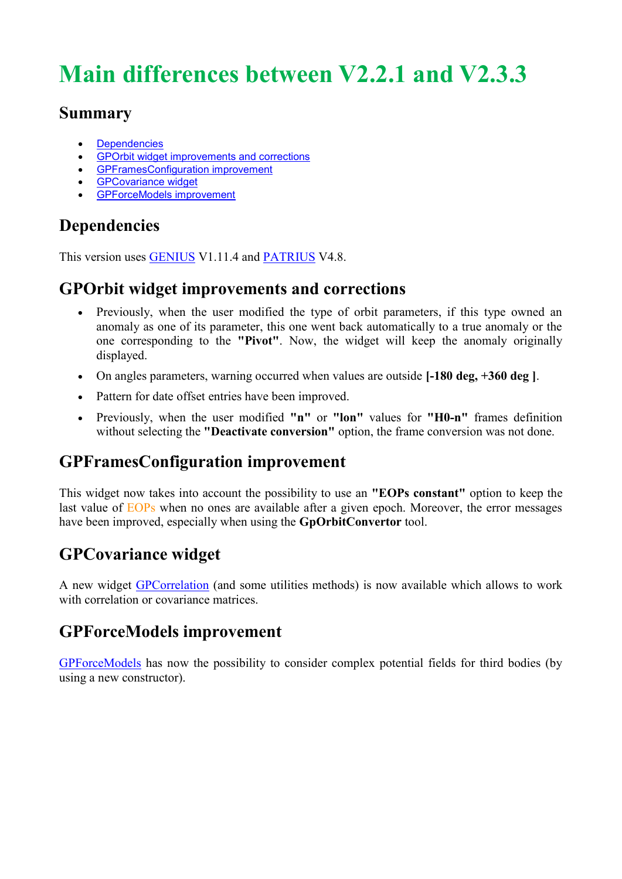# **Main differences between V2.2.1 and V2.3.3**

#### **Summary**

- [Dependencies](http://genopus.cnes.fr/index.php/Main_differences_between_V2.2.1_and_V2.3.1#Dependencies)
- **•** [GPOrbit widget improvements and corrections](http://genopus.cnes.fr/index.php/Main_differences_between_V2.2.1_and_V2.3.1#GPOrbit_widget_improvements_and_corrections)
- [GPFramesConfiguration improvement](http://genopus.cnes.fr/index.php/Main_differences_between_V2.2.1_and_V2.3.1#GPFramesConfiguration_improvement)
- **•** [GPCovariance widget](http://genopus.cnes.fr/index.php/Main_differences_between_V2.2.1_and_V2.3.1#GPCovariance_widget)
- [GPForceModels improvement](http://genopus.cnes.fr/index.php/Main_differences_between_V2.2.1_and_V2.3.1#GPForceModels_improvement)

# **Dependencies**

This version uses [GENIUS](http://genius.cnes.fr/) V1.11.4 and [PATRIUS](http://patrius.cnes.fr/) V4.8.

## **GPOrbit widget improvements and corrections**

- Previously, when the user modified the type of orbit parameters, if this type owned an anomaly as one of its parameter, this one went back automatically to a true anomaly or the one corresponding to the **"Pivot"**. Now, the widget will keep the anomaly originally displayed.
- On angles parameters, warning occurred when values are outside **[-180 deg, +360 deg ]**.
- Pattern for date offset entries have been improved.
- Previously, when the user modified **"n"** or **"lon"** values for **"H0-n"** frames definition without selecting the **"Deactivate conversion"** option, the frame conversion was not done.

# **GPFramesConfiguration improvement**

This widget now takes into account the possibility to use an **"EOPs constant"** option to keep the last value of EOPs when no ones are available after a given epoch. Moreover, the error messages have been improved, especially when using the **GpOrbitConvertor** tool.

## **GPCovariance widget**

A new widget [GPCorrelation](http://genopus.cnes.fr/index.php/GPCorrelation) (and some utilities methods) is now available which allows to work with correlation or covariance matrices.

## **GPForceModels improvement**

[GPForceModels](http://genopus.cnes.fr/index.php/GPForceModels) has now the possibility to consider complex potential fields for third bodies (by using a new constructor).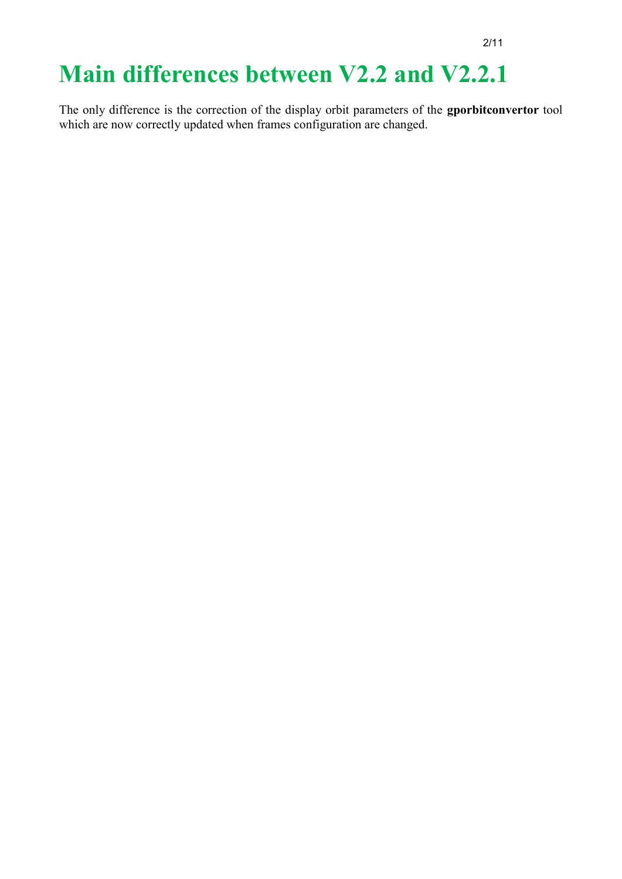# **Main differences between V2.2 and V2.2.1**

The only difference is the correction of the display orbit parameters of the **gporbitconvertor** tool which are now correctly updated when frames configuration are changed.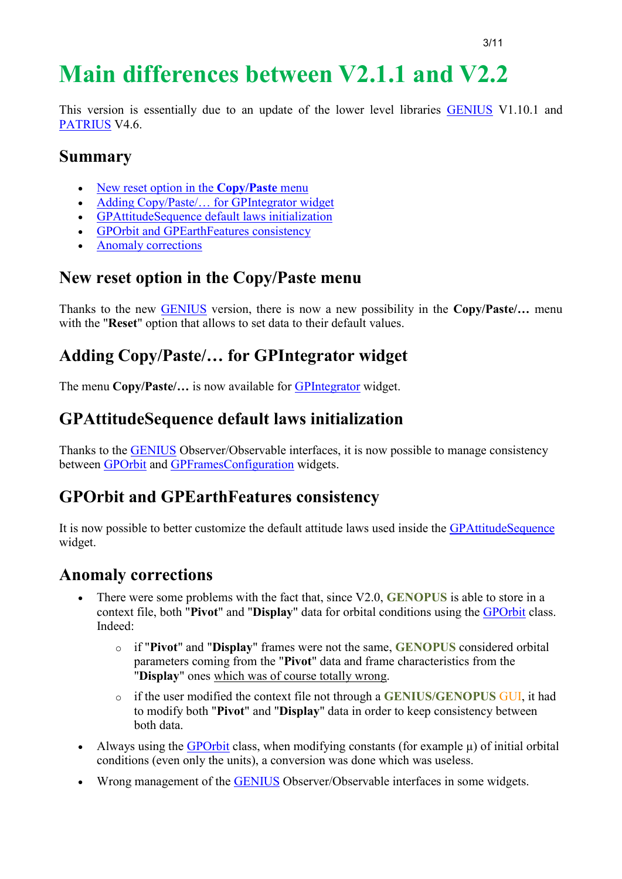# **Main differences between V2.1.1 and V2.2**

This version is essentially due to an update of the lower level libraries [GENIUS](http://www.genius.fr/) V1.10.1 and [PATRIUS](http://www.patrius.fr/) V4.6.

### **Summary**

- [New reset option in the](http://genopus.cnes.fr/index.php/Main_differences_between_V2.1.1_and_V2.2#New_reset_option_in_the_Copy.2FPaste_menu) **Copy/Paste** menu
- Adding Copy/Paste/... for GPIntegrator widget
- [GPAttitudeSequence default laws initialization](http://genopus.cnes.fr/index.php/Main_differences_between_V2.1.1_and_V2.2#GPAttitudeSequence_default_laws_initialization)
- [GPOrbit and GPEarthFeatures consistency](http://genopus.cnes.fr/index.php/Main_differences_between_V2.1.1_and_V2.2#GPOrbit_and_GPEarthFeatures_consistency)
- [Anomaly corrections](http://genopus.cnes.fr/index.php/Main_differences_between_V2.1.1_and_V2.2#Anomaly_corrections)

## **New reset option in the Copy/Paste menu**

Thanks to the new [GENIUS](http://www.genius.fr/) version, there is now a new possibility in the **Copy/Paste/…** menu with the "**Reset**" option that allows to set data to their default values.

## **Adding Copy/Paste/… for GPIntegrator widget**

The menu **Copy/Paste/…** is now available for [GPIntegrator](http://genopus.cnes.fr/uploads/JavaDocs/V2.1/fr/cnes/genopus/math/GPIntegrator.html) widget.

## **GPAttitudeSequence default laws initialization**

Thanks to the [GENIUS](http://www.genius.fr/) Observer/Observable interfaces, it is now possible to manage consistency between [GPOrbit](http://genopus.cnes.fr/uploads/JavaDocs/V2.1.1/fr/cnes/genopus/orbits/GPOrbit.html) and [GPFramesConfiguration](http://genopus.cnes.fr/uploads/JavaDocs/V2.1.1/fr/cnes/genopus/frames/GPFramesConfiguration.html) widgets.

### **GPOrbit and GPEarthFeatures consistency**

It is now possible to better customize the default attitude laws used inside the [GPAttitudeSequence](http://genopus.cnes.fr/uploads/JavaDocs/V2.1.1/fr/cnes/genopus/attitudes/GPAttitudeSequence.html) widget.

- There were some problems with the fact that, since V2.0, **GENOPUS** is able to store in a context file, both "**Pivot**" and "**Display**" data for orbital conditions using the [GPOrbit](http://genopus.cnes.fr/uploads/JavaDocs/V2.1.1/fr/cnes/genopus/orbits/GPOrbit.html) class. Indeed:
	- o if "**Pivot**" and "**Display**" frames were not the same, **GENOPUS** considered orbital parameters coming from the "**Pivot**" data and frame characteristics from the "**Display**" ones which was of course totally wrong.
	- o if the user modified the context file not through a **GENIUS/GENOPUS** GUI, it had to modify both "**Pivot**" and "**Display**" data in order to keep consistency between both data.
- Always using the [GPOrbit](http://genopus.cnes.fr/uploads/JavaDocs/V2.1.1/fr/cnes/genopus/orbits/GPOrbit.html) class, when modifying constants (for example  $\mu$ ) of initial orbital conditions (even only the units), a conversion was done which was useless.
- Wrong management of the [GENIUS](http://www.genius.fr/) Observer/Observable interfaces in some widgets.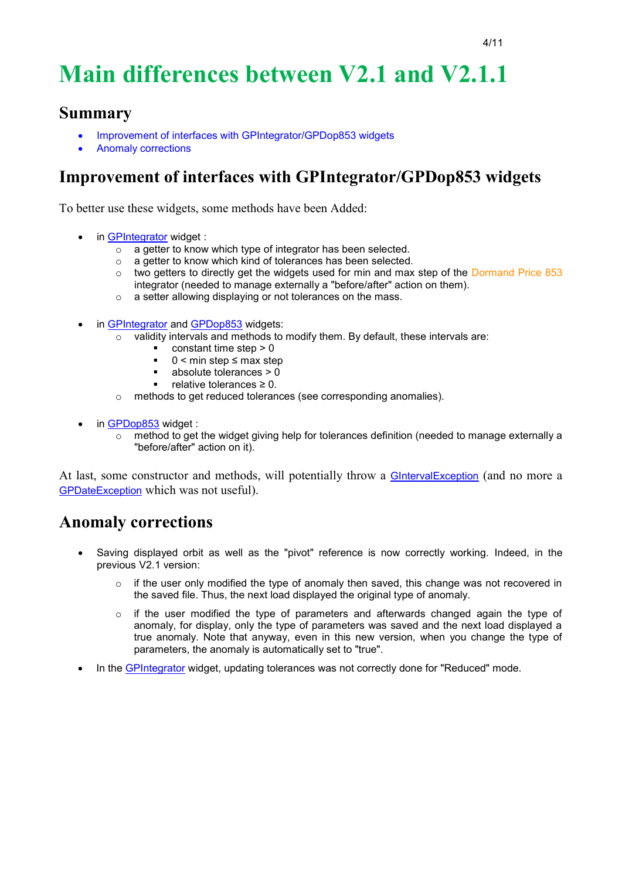# **Main differences between V2.1 and V2.1.1**

#### **Summary**

- Improvement of interfaces with GPIntegrator/GPDop853 widgets
- Anomaly corrections

## **Improvement of interfaces with GPIntegrator/GPDop853 widgets**

To better use these widgets, some methods have been Added:

- in [GPIntegrator](http://genopus.cnes.fr/uploads/JavaDocs/V2.1/fr/cnes/genopus/math/GPIntegrator.html) widget :
	- $\circ$  a getter to know which type of integrator has been selected.
	- o a getter to know which kind of tolerances has been selected.
	- o two getters to directly get the widgets used for min and max step of the Dormand Price 853 integrator (needed to manage externally a "before/after" action on them).
	- o a setter allowing displaying or not tolerances on the mass.
- in [GPIntegrator](http://genopus.cnes.fr/uploads/JavaDocs/V2.1/fr/cnes/genopus/math/GPIntegrator.html) and [GPDop853](http://genopus.cnes.fr/uploads/JavaDocs/V2.1/fr/cnes/genopus/math/GPDop853.html) widgets:
	- validity intervals and methods to modify them. By default, these intervals are:
		- $\blacksquare$  constant time step  $> 0$
		- $\blacksquare$  0 < min step  $\leq$  max step
		- $\blacksquare$  absolute tolerances > 0
		- relative tolerances ≥ 0.
	- o methods to get reduced tolerances (see corresponding anomalies).
- in [GPDop853](http://genopus.cnes.fr/uploads/JavaDocs/V2.1/fr/cnes/genopus/math/GPDop853.html) widget :
	- $\circ$  method to get the widget giving help for tolerances definition (needed to manage externally a "before/after" action on it).

At last, some constructor and methods, will potentially throw a **GIntervalException** (and no more a GPDateException which was not useful).

- Saving displayed orbit as well as the "pivot" reference is now correctly working. Indeed, in the previous V2.1 version:
	- $\circ$  if the user only modified the type of anomaly then saved, this change was not recovered in the saved file. Thus, the next load displayed the original type of anomaly.
	- $\circ$  if the user modified the type of parameters and afterwards changed again the type of anomaly, for display, only the type of parameters was saved and the next load displayed a true anomaly. Note that anyway, even in this new version, when you change the type of parameters, the anomaly is automatically set to "true".
- In the [GPIntegrator](http://genopus.cnes.fr/uploads/JavaDocs/V2.1/fr/cnes/genopus/math/GPIntegrator.html) widget, updating tolerances was not correctly done for "Reduced" mode.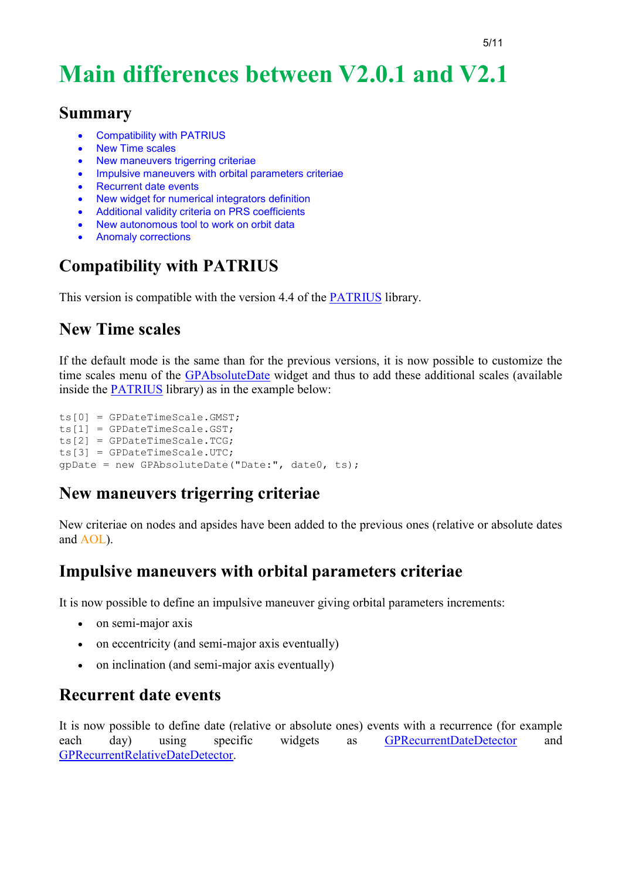# **Main differences between V2.0.1 and V2.1**

#### **Summary**

- [Compatibility with PATRIUS](http://genopus.cnes.fr/index.php/Main_differences_between_V2.0.1_and_V2.1#Compatibility_with_PATRIUS)
- [New Time scales](http://genopus.cnes.fr/index.php/Main_differences_between_V2.0.1_and_V2.1#New_Time_scales)
- [New maneuvers trigerring criteriae](http://genopus.cnes.fr/index.php/Main_differences_between_V2.0.1_and_V2.1#New_maneuvers_trigerring_criteriae)
- [Impulsive maneuvers with orbital parameters criteriae](http://genopus.cnes.fr/index.php/Main_differences_between_V2.0.1_and_V2.1#Impulsive_maneuvers_with_orbital_parameters_criteriae)
- [Recurrent date events](http://genopus.cnes.fr/index.php/Main_differences_between_V2.0.1_and_V2.1#Recurrent_date_events)
- [New widget for numerical integrators definition](http://genopus.cnes.fr/index.php/Main_differences_between_V2.0.1_and_V2.1#New_widget_for_numerical_integrators_definition)
- [Additional validity criteria on PRS coefficients](http://genopus.cnes.fr/index.php/Main_differences_between_V2.0.1_and_V2.1#Additional_validity_criteria_on_PRS_coefficients)
- [New autonomous tool to work on orbit data](http://genopus.cnes.fr/index.php/Main_differences_between_V2.0.1_and_V2.1#New_autonomous_tool_to_work_on_orbit_data)
- [Anomaly corrections](http://genopus.cnes.fr/index.php/Main_differences_between_V2.0.1_and_V2.1#Anomaly_corrections)

# **Compatibility with PATRIUS**

This version is compatible with the version 4.4 of the [PATRIUS](http://patrius.cnes.fr/) library.

## **New Time scales**

If the default mode is the same than for the previous versions, it is now possible to customize the time scales menu of the [GPAbsoluteDate](http://genopus.cnes.fr/uploads/JavaDocs/V2.0.1/fr/cnes/genopus/time/GPAbsoluteDate.html) widget and thus to add these additional scales (available inside the [PATRIUS](http://patrius.cnes.fr/) library) as in the example below:

```
ts[0] = GPDateTimeScale.GMST;
ts[1] = GPDateTimeScale.GST;
ts[2] = GPDateTimeScale.TCG;
ts[3] = GPDateTimeScale.UTC;
gpDate = new GPAbsoluteDate("Date:", date0, ts);
```
## **New maneuvers trigerring criteriae**

New criteriae on nodes and apsides have been added to the previous ones (relative or absolute dates and AOL).

### **Impulsive maneuvers with orbital parameters criteriae**

It is now possible to define an impulsive maneuver giving orbital parameters increments:

- on semi-major axis
- on eccentricity (and semi-major axis eventually)
- on inclination (and semi-major axis eventually)

### **Recurrent date events**

It is now possible to define date (relative or absolute ones) events with a recurrence (for example each day) using specific widgets as [GPRecurrentDateDetector](http://genopus.cnes.fr/uploads/JavaDocs/V2.1.1/fr/cnes/genopus/events/GPRecurrentDateDetector.html) and [GPRecurrentRelativeDateDetector.](http://genopus.cnes.fr/uploads/JavaDocs/V2.1.1/fr/cnes/genopus/events/GPRecurrentRelativeDateDetector.html)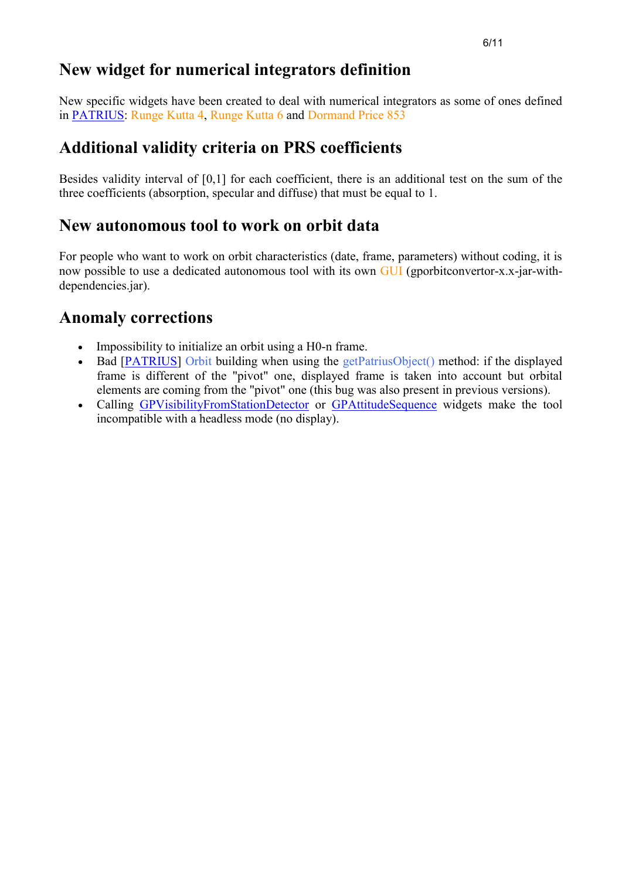### **New widget for numerical integrators definition**

New specific widgets have been created to deal with numerical integrators as some of ones defined in [PATRIUS:](http://patrius.cnes.fr/) Runge Kutta 4, Runge Kutta 6 and Dormand Price 853

### **Additional validity criteria on PRS coefficients**

Besides validity interval of [0,1] for each coefficient, there is an additional test on the sum of the three coefficients (absorption, specular and diffuse) that must be equal to 1.

#### **New autonomous tool to work on orbit data**

For people who want to work on orbit characteristics (date, frame, parameters) without coding, it is now possible to use a dedicated autonomous tool with its own GUI (gporbitconvertor-x.x-jar-withdependencies.jar).

- Impossibility to initialize an orbit using a H0-n frame.
- Bad [\[PATRIUS\]](https://logiciels.cnes.fr/en/node/62?type=desc) Orbit building when using the getPatriusObject() method: if the displayed frame is different of the "pivot" one, displayed frame is taken into account but orbital elements are coming from the "pivot" one (this bug was also present in previous versions).
- Calling [GPVisibilityFromStationDetector](http://genopus.cnes.fr/uploads/JavaDocs/V2.0.1/fr/cnes/genopus/events/GPVisibilityFromStationDetector.html) or [GPAttitudeSequence](http://genopus.cnes.fr/uploads/JavaDocs/V2.0.1/fr/cnes/genopus/attitudes/GPAttitudeSequence.html) widgets make the tool incompatible with a headless mode (no display).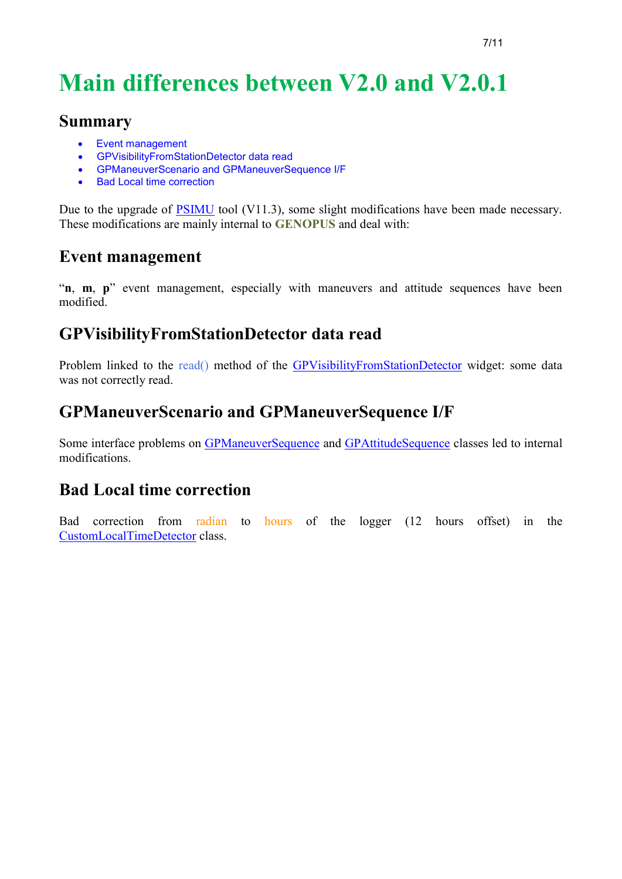# **Main differences between V2.0 and V2.0.1**

#### **Summary**

- Event management
- GPVisibilityFromStationDetector data read
- GPManeuverScenario and GPManeuverSequence I/F
- Bad Local time correction

Due to the upgrade of **PSIMU** tool (V11.3), some slight modifications have been made necessary. These modifications are mainly internal to **GENOPUS** and deal with:

#### **Event management**

"**n**, **m**, **p**" event management, especially with maneuvers and attitude sequences have been modified.

### **GPVisibilityFromStationDetector data read**

Problem linked to the read() method of the [GPVisibilityFromStationDetector](http://genopus.cnes.fr/uploads/JavaDocs/V2.0/fr/cnes/genopus/events/GPVisibilityFromStationDetector.html) widget: some data was not correctly read.

### **GPManeuverScenario and GPManeuverSequence I/F**

Some interface problems on [GPManeuverSequence](http://genopus.cnes.fr/uploads/JavaDocs/V2.0/fr/cnes/genopus/maneuvers/GPManeuverSequence.html) and [GPAttitudeSequence](http://genopus.cnes.fr/uploads/JavaDocs/V2.0/fr/cnes/genopus/attitudes/GPAttitudeSequence.html) classes led to internal modifications.

#### **Bad Local time correction**

Bad correction from radian to hours of the logger (12 hours offset) in the [CustomLocalTimeDetector](http://genopus.cnes.fr/uploads/JavaDocs/V2.0/fr/cnes/genopus/nonWidget/events/CustomLocalTimeDetector.html) class.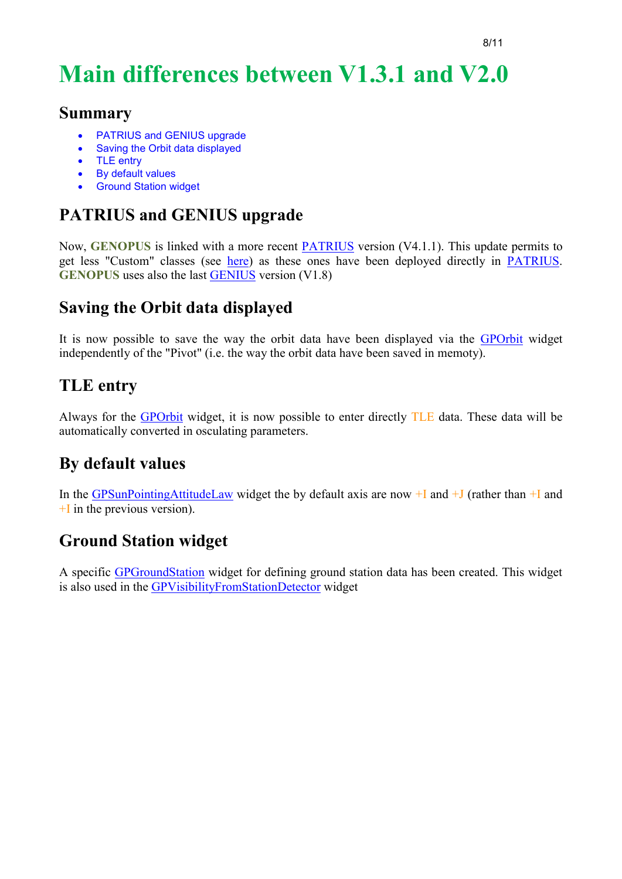# **Main differences between V1.3.1 and V2.0**

#### **Summary**

- PATRIUS and GENIUS upgrade
- Saving the Orbit data displayed
- TLE entry
- By default values
- **Ground Station widget**

# **PATRIUS and GENIUS upgrade**

Now, **GENOPUS** is linked with a more recent [PATRIUS](http://patrius.cnes.fr/) version (V4.1.1). This update permits to get less "Custom" classes (see [here\)](http://genopus.cnes.fr/index.php/BasicPrinciples#Some_non_graphical_objects) as these ones have been deployed directly in **PATRIUS**. **GENOPUS** uses also the last [GENIUS](http://genius.cnes.fr/) version (V1.8)

# **Saving the Orbit data displayed**

It is now possible to save the way the orbit data have been displayed via the [GPOrbit](http://genopus.cnes.fr/index.php/GPOrbit) widget independently of the "Pivot" (i.e. the way the orbit data have been saved in memoty).

## **TLE entry**

Always for the [GPOrbit](http://genopus.cnes.fr/index.php/GPOrbit) widget, it is now possible to enter directly TLE data. These data will be automatically converted in osculating parameters.

# **By default values**

In the [GPSunPointingAttitudeLaw](http://genopus.cnes.fr/uploads/JavaDocs/V2.0/fr/cnes/genopus/attitudes/GPSunPointingAttitudeLaw.html) widget the by default axis are now  $+I$  and  $+J$  (rather than  $+I$  and  $+I$  in the previous version).

## **Ground Station widget**

A specific [GPGroundStation](http://genopus.cnes.fr/uploads/JavaDocs/V2.0/fr/cnes/genopus/groundstation/GPGroundStation.html) widget for defining ground station data has been created. This widget is also used in the [GPVisibilityFromStationDetector](http://genopus.cnes.fr/uploads/JavaDocs/V2.0/fr/cnes/genopus/events/GPVisibilityFromStationDetector.html) widget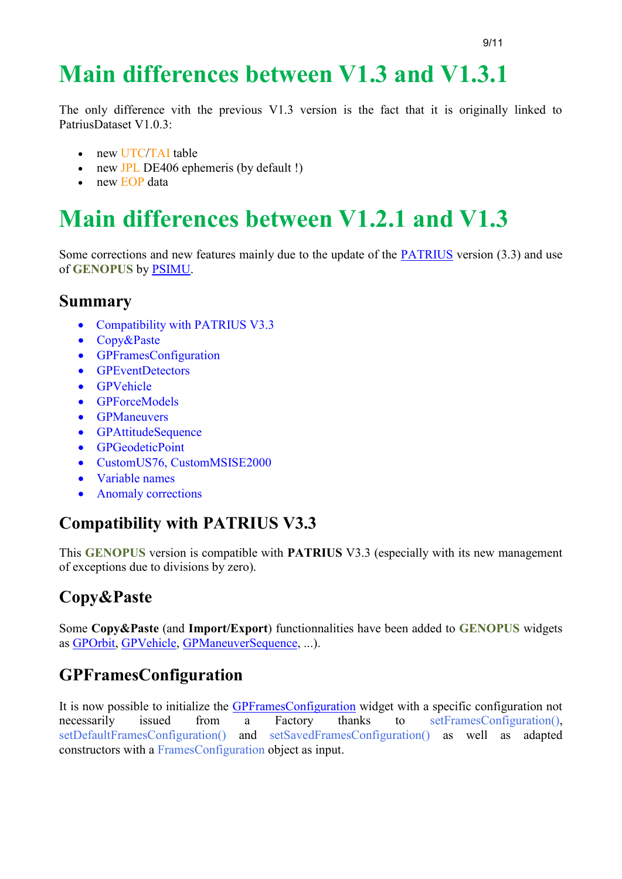# **Main differences between V1.3 and V1.3.1**

The only difference vith the previous V1.3 version is the fact that it is originally linked to PatriusDataset V1.0.3:

- new UTC/TAI table
- new JPL DE406 ephemeris (by default !)
- new EOP data

# **Main differences between V1.2.1 and V1.3**

Some corrections and new features mainly due to the update of the [PATRIUS](https://logiciels.cnes.fr/en/node/62?type=desc) version (3.3) and use of **GENOPUS** by [PSIMU.](http://10.120.3.224/index.php/WELCOME_TO_THE_PSIMU_WIKI)

#### **Summary**

- [Compatibility with PATRIUS V3.3](http://10.120.3.225/index.php/Main_differences_between_V1.2.1_and_V1.3#Compatibility_with_PATRIUS_V3.3)
- [Copy&Paste](http://10.120.3.225/index.php/Main_differences_between_V1.2.1_and_V1.3#Copy.26Paste)
- [GPFramesConfiguration](http://10.120.3.225/index.php/Main_differences_between_V1.2.1_and_V1.3#GPFramesConfiguration)
- [GPEventDetectors](http://10.120.3.225/index.php/Main_differences_between_V1.2.1_and_V1.3#GPEventDetectors)
- **[GPVehicle](http://10.120.3.225/index.php/Main_differences_between_V1.2.1_and_V1.3#GPVehicle)**
- [GPForceModels](http://10.120.3.225/index.php/Main_differences_between_V1.2.1_and_V1.3#GPForceModels)
- **•** [GPManeuvers](http://10.120.3.225/index.php/Main_differences_between_V1.2.1_and_V1.3#GPManeuvers)
- [GPAttitudeSequence](http://10.120.3.225/index.php/Main_differences_between_V1.2.1_and_V1.3#GPAttitudeSequence)
- [GPGeodeticPoint](http://10.120.3.225/index.php/Main_differences_between_V1.2.1_and_V1.3#GPGeodeticPoint)
- [CustomUS76, CustomMSISE2000](http://10.120.3.225/index.php/Main_differences_between_V1.2.1_and_V1.3#CustomUS76.2C_CustomMSISE2000)
- [Variable names](http://10.120.3.225/index.php/Main_differences_between_V1.2.1_and_V1.3#Variable_names)
- [Anomaly corrections](http://10.120.3.225/index.php/Main_differences_between_V1.2.1_and_V1.3#Anomaly_corrections)

## **Compatibility with PATRIUS V3.3**

This **GENOPUS** version is compatible with **PATRIUS** V3.3 (especially with its new management of exceptions due to divisions by zero).

# **Copy&Paste**

Some **Copy&Paste** (and **Import/Export**) functionnalities have been added to **GENOPUS** widgets as [GPOrbit,](http://10.120.3.225/uploads/JavaDocs/V1.3/fr/cnes/genopus/orbits/GPOrbit.html) [GPVehicle,](http://10.120.3.225/uploads/JavaDocs/V1.3/fr/cnes/genopus/vehicle/GPVehicle.html) [GPManeuverSequence,](http://10.120.3.225/uploads/JavaDocs/V1.3/fr/cnes/genopus/maneuvers/GPManeuverSequence.html) ...).

# **GPFramesConfiguration**

It is now possible to initialize the [GPFramesConfiguration](http://10.120.3.225/uploads/JavaDocs/V1.3/fr/cnes/genopus/frames/GPFramesConfiguration.html) widget with a specific configuration not necessarily issued from a Factory thanks to setFramesConfiguration(), setDefaultFramesConfiguration() and setSavedFramesConfiguration() as well as adapted constructors with a FramesConfiguration object as input.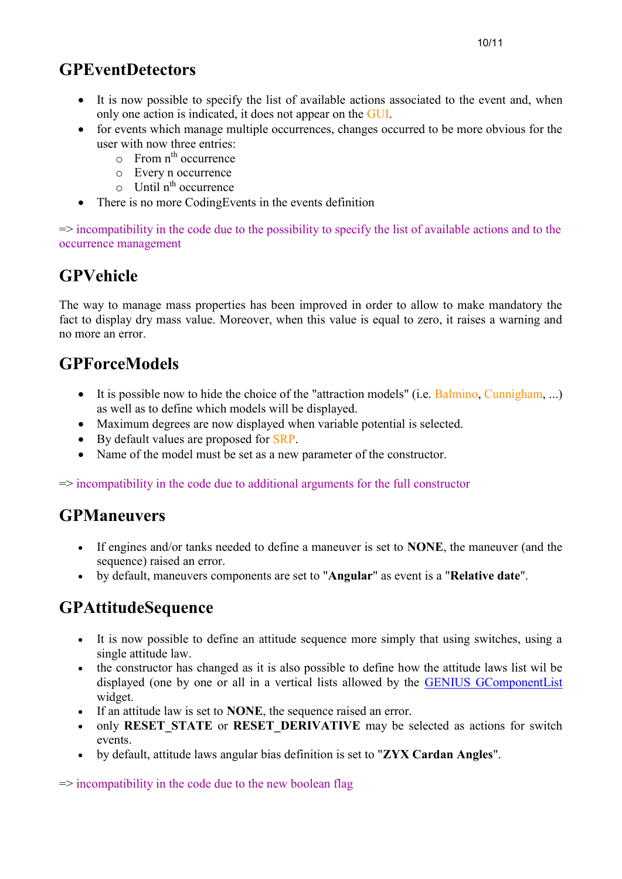# **GPEventDetectors**

- It is now possible to specify the list of available actions associated to the event and, when only one action is indicated, it does not appear on the GUI.
- for events which manage multiple occurrences, changes occurred to be more obvious for the user with now three entries:
	- $\circ$  From  $n^{\text{th}}$  occurrence
	- o Every n occurrence
	- $\circ$  Until n<sup>th</sup> occurrence
- There is no more CodingEvents in the events definition

=> incompatibility in the code due to the possibility to specify the list of available actions and to the occurrence management

# **GPVehicle**

The way to manage mass properties has been improved in order to allow to make mandatory the fact to display dry mass value. Moreover, when this value is equal to zero, it raises a warning and no more an error.

# **GPForceModels**

- $\bullet$  It is possible now to hide the choice of the "attraction models" (i.e. Balmino, Cunnigham, ...) as well as to define which models will be displayed.
- Maximum degrees are now displayed when variable potential is selected.
- By default values are proposed for SRP.
- Name of the model must be set as a new parameter of the constructor.

=> incompatibility in the code due to additional arguments for the full constructor

## **GPManeuvers**

- If engines and/or tanks needed to define a maneuver is set to **NONE**, the maneuver (and the sequence) raised an error.
- by default, maneuvers components are set to "**Angular**" as event is a "**Relative date**".

# **GPAttitudeSequence**

- It is now possible to define an attitude sequence more simply that using switches, using a single attitude law.
- the constructor has changed as it is also possible to define how the attitude laws list wil be displayed (one by one or all in a vertical lists allowed by the [GENIUS GComponentList](http://10.120.3.216/index.php/GComponentList) widget.
- If an attitude law is set to **NONE**, the sequence raised an error.
- only **RESET\_STATE** or **RESET\_DERIVATIVE** may be selected as actions for switch events.
- by default, attitude laws angular bias definition is set to "**ZYX Cardan Angles**".

 $\Rightarrow$  incompatibility in the code due to the new boolean flag